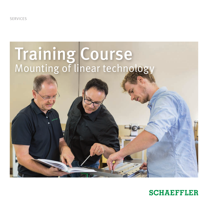SERVICES

# Training Course Mounting of linear technology

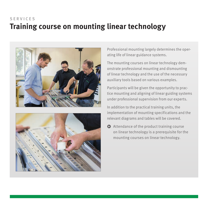## **Training course on mounting linear technology** SERVICES





Professional mounting largely determines the operating life of linear guidance systems.

The mounting courses on linear technology demonstrate professional mounting and dismounting of linear technology and the use of the necessary auxiliary tools based on various examples.

Participants will be given the opportunity to practice mounting and aligning of linear guiding systems under professional supervision from our experts.

In addition to the practical training units, the implementation of mounting specifications and the relevant diagrams and tables will be covered.

 $\bullet$  Attendance of the product training course on linear technology is a prerequisite for the mounting courses on linear technology.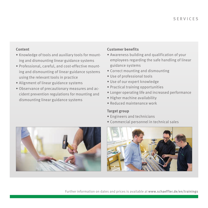#### **Content**

- Knowledge of tools and auxiliary tools for mounting and dismounting linear guidance systems
- Professional, careful, and cost-effective mounting and dismounting of linear guidance systems using the relevant tools in practice
- Alignment of linear guidance systems
- Observance of precautionary measures and accident prevention regulations for mounting and dismounting linear guidance systems

#### **Customer benefits**

- Awareness building and qualification of your employees regarding the safe handling of linear guidance systems
- Correct mounting and dismounting
- Use of professional tools
- Use of our expert knowledge
- Practical training opportunities
- Longer operating life and increased performance
- Higher machine availability
- Reduced maintenance work

#### **Target group**

- Engineers and technicians
- Commercial personnel in technical sales